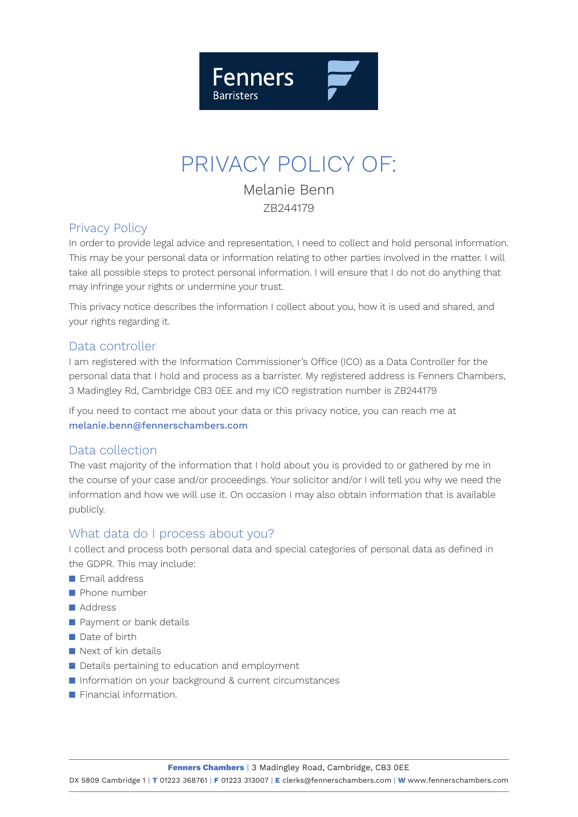

# PRIVACY POLICY OF:

Melanie Benn ZB244179

### Privacy Policy

In order to provide legal advice and representation, I need to collect and hold personal information. This may be your personal data or information relating to other parties involved in the matter. I will take all possible steps to protect personal information. I will ensure that I do not do anything that may infringe your rights or undermine your trust.

This privacy notice describes the information I collect about you, how it is used and shared, and your rights regarding it.

# Data controller

I am registered with the Information Commissioner's Office (ICO) as a Data Controller for the personal data that I hold and process as a barrister. My registered address is Fenners Chambers, 3 Madingley Rd, Cambridge CB3 0EE and my ICO registration number is ZB244179

If you need to contact me about your data or this privacy notice, you can reach me at melanie.benn@fennerschambers.com

### Data collection

The vast majority of the information that I hold about you is provided to or gathered by me in the course of your case and/or proceedings. Your solicitor and/or I will tell you why we need the information and how we will use it. On occasion I may also obtain information that is available publicly.

### What data do I process about you?

I collect and process both personal data and special categories of personal data as defined in the GDPR. This may include:

- $\blacksquare$  Email address
- $\blacksquare$  Phone number
- Address
- **n** Payment or bank details
- $\blacksquare$  Date of birth
- $\blacksquare$  Next of kin details
- Details pertaining to education and employment
- n Information on your background & current circumstances
- **n** Financial information.

**Fenners Chambers** | 3 Madingley Road, Cambridge, CB3 0EE

DX 5809 Cambridge 1 | **T** 01223 368761 | **F** 01223 313007 | **E** clerks@fennerschambers.com | **W** www.fennerschambers.com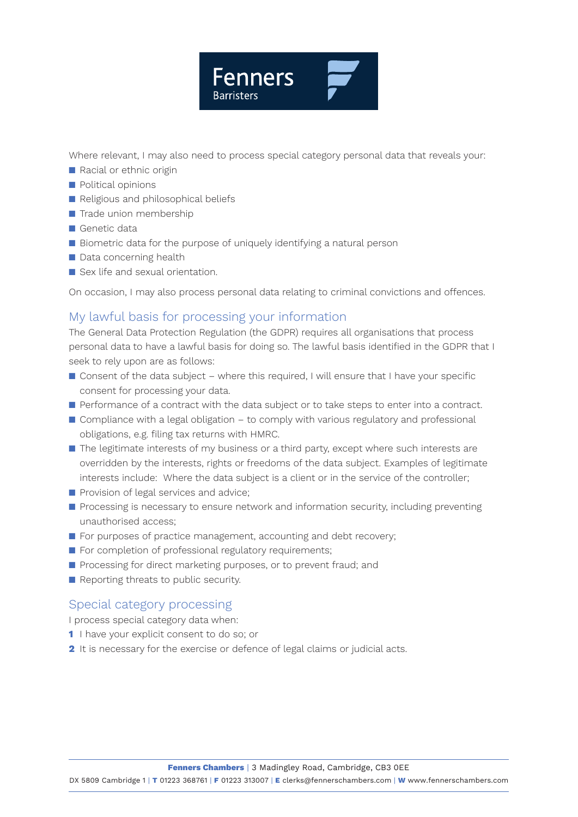

Where relevant, I may also need to process special category personal data that reveals your:

- **n** Racial or ethnic origin
- **n** Political opinions
- Religious and philosophical beliefs
- $\blacksquare$  Trade union membership
- $\blacksquare$  Genetic data
- Biometric data for the purpose of uniquely identifying a natural person
- $\blacksquare$  Data concerning health
- $\blacksquare$  Sex life and sexual orientation.

On occasion, I may also process personal data relating to criminal convictions and offences.

# My lawful basis for processing your information

The General Data Protection Regulation (the GDPR) requires all organisations that process personal data to have a lawful basis for doing so. The lawful basis identified in the GDPR that I seek to rely upon are as follows:

- $\blacksquare$  Consent of the data subject where this required, I will ensure that I have your specific consent for processing your data.
- **n** Performance of a contract with the data subject or to take steps to enter into a contract.
- $\blacksquare$  Compliance with a legal obligation to comply with various regulatory and professional obligations, e.g. filing tax returns with HMRC.
- $\blacksquare$  The legitimate interests of my business or a third party, except where such interests are overridden by the interests, rights or freedoms of the data subject. Examples of legitimate interests include: Where the data subject is a client or in the service of the controller;
- **n** Provision of legal services and advice;
- **n** Processing is necessary to ensure network and information security, including preventing unauthorised access;
- $\blacksquare$  For purposes of practice management, accounting and debt recovery;
- $\blacksquare$  For completion of professional regulatory requirements;
- **n** Processing for direct marketing purposes, or to prevent fraud; and
- **n** Reporting threats to public security.

### Special category processing

I process special category data when:

- **1** I have your explicit consent to do so; or
- **2** It is necessary for the exercise or defence of legal claims or judicial acts.

**Fenners Chambers** | 3 Madingley Road, Cambridge, CB3 0EE

DX 5809 Cambridge 1 | **T** 01223 368761 | **F** 01223 313007 | **E** clerks@fennerschambers.com | **W** www.fennerschambers.com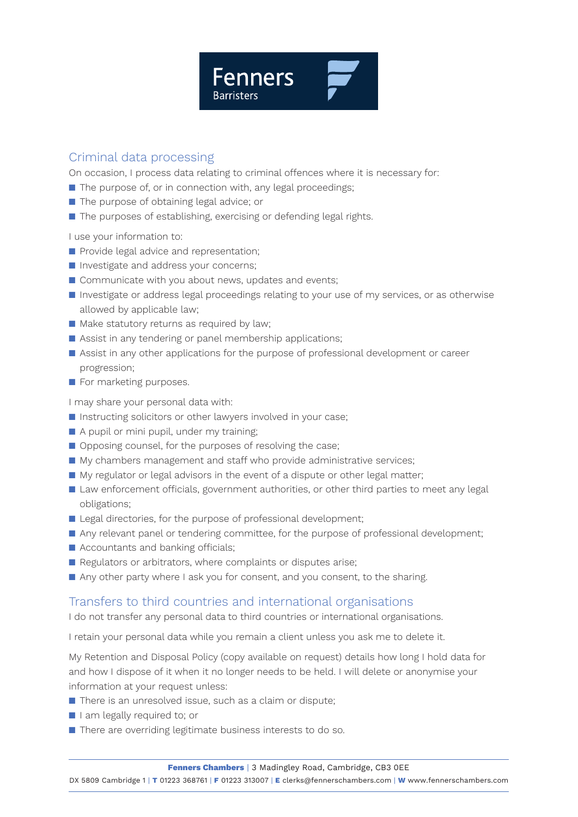

### Criminal data processing

On occasion, I process data relating to criminal offences where it is necessary for:

- $\blacksquare$  The purpose of, or in connection with, any legal proceedings;
- $\blacksquare$  The purpose of obtaining legal advice; or
- $\blacksquare$  The purposes of establishing, exercising or defending legal rights.

I use your information to:

- **n** Provide legal advice and representation;
- **n** Investigate and address your concerns;
- $\blacksquare$  Communicate with you about news, updates and events;
- **n** Investigate or address legal proceedings relating to your use of my services, or as otherwise allowed by applicable law;
- $\blacksquare$  Make statutory returns as required by law;
- $\blacksquare$  Assist in any tendering or panel membership applications;
- **n** Assist in any other applications for the purpose of professional development or career progression;
- $\blacksquare$  For marketing purposes.

I may share your personal data with:

- $\blacksquare$  Instructing solicitors or other lawyers involved in your case;
- $\blacksquare$  A pupil or mini pupil, under my training;
- $\Box$  Opposing counsel, for the purposes of resolving the case;
- n My chambers management and staff who provide administrative services;
- My regulator or legal advisors in the event of a dispute or other legal matter;
- **n** Law enforcement officials, government authorities, or other third parties to meet any legal obligations;
- Legal directories, for the purpose of professional development;
- n Any relevant panel or tendering committee, for the purpose of professional development;
- $\blacksquare$  Accountants and banking officials;
- Regulators or arbitrators, where complaints or disputes arise;
- Any other party where I ask you for consent, and you consent, to the sharing.

### Transfers to third countries and international organisations

I do not transfer any personal data to third countries or international organisations.

I retain your personal data while you remain a client unless you ask me to delete it.

My Retention and Disposal Policy (copy available on request) details how long I hold data for and how I dispose of it when it no longer needs to be held. I will delete or anonymise your information at your request unless:

- $\blacksquare$  There is an unresolved issue, such as a claim or dispute;
- I I am legally required to; or
- There are overriding legitimate business interests to do so.

DX 5809 Cambridge 1 | **T** 01223 368761 | **F** 01223 313007 | **E** clerks@fennerschambers.com | **W** www.fennerschambers.com